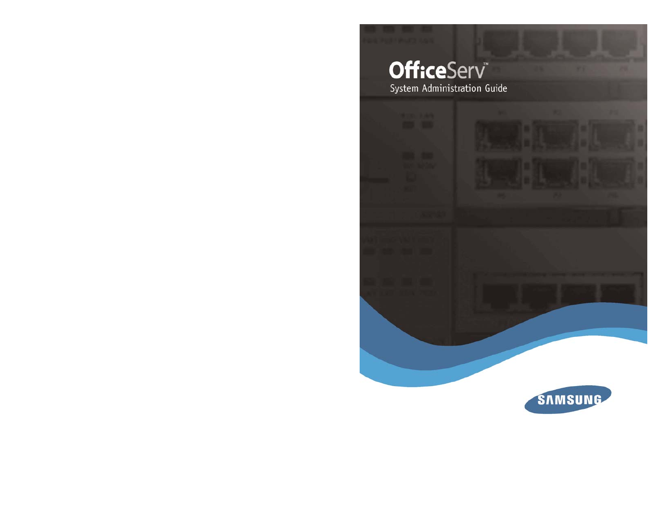# **OfficeServ** System Administration Guide

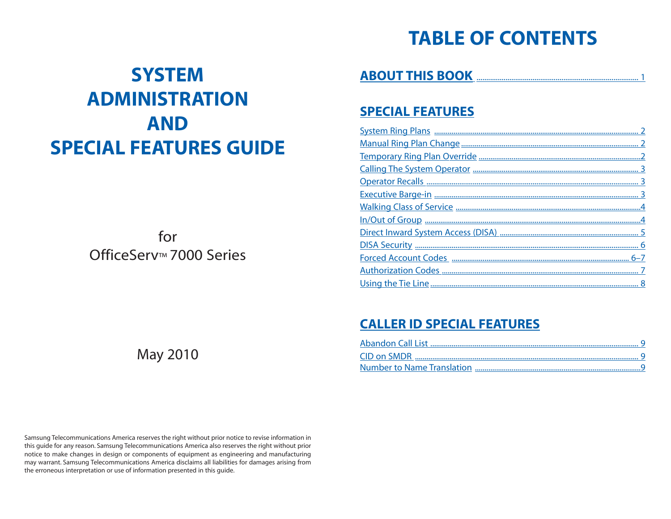## **TABLE OF CONTENTS**

## **SYSTEM ADMINISTRATION AND SPECIAL FEATURES GUIDE**

for OfficeServ™ 7000 Series

May 2010

**ABOUT THIS BOOK** [.................................................................................... 1](#page-2-0)

### **[SPECIAL FEATURES](#page-3-0)**

### **[CALLER ID SPECIAL FEATURES](#page-7-0)**

Samsung Telecommunications America reserves the right without prior notice to revise information in this guide for any reason. Samsung Telecommunications America also reserves the right without prior notice to make changes in design or components of equipment as engineering and manufacturing may warrant. Samsung Telecommunications America disclaims all liabilities for damages arising from the erroneous interpretation or use of information presented in this guide.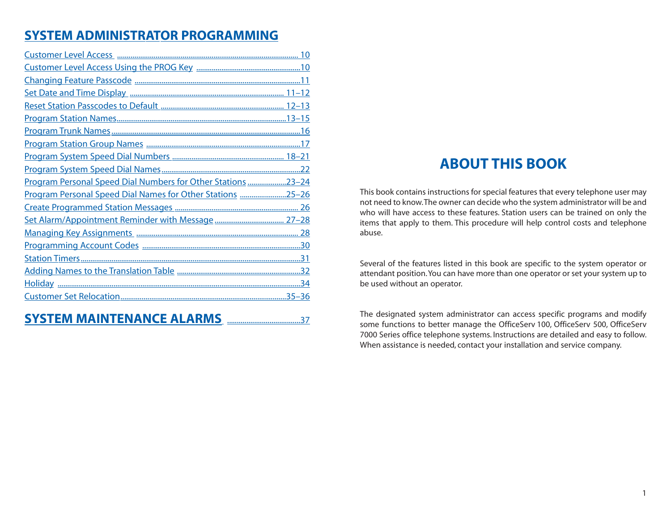### <span id="page-2-0"></span>**[SYSTEM ADMINISTRATOR PROGRAMMING](#page-7-0)**

| Program Personal Speed Dial Numbers for Other Stations 23-24 |
|--------------------------------------------------------------|
| Program Personal Speed Dial Names for Other Stations 25-26   |
|                                                              |
|                                                              |
|                                                              |
|                                                              |
|                                                              |
|                                                              |
|                                                              |
|                                                              |
|                                                              |

### **ABOUT THIS BOOK**

This book contains instructions for special features that every telephone user may not need to know.The owner can decide who the system administrator will be and who will have access to these features. Station users can be trained on only the items that apply to them. This procedure will help control costs and telephone abuse.

Several of the features listed in this book are specific to the system operator or attendant position.You can have more than one operator or set your system up to be used without an operator.

The designated system administrator can access specific programs and modify some functions to better manage the OfficeServ 100, OfficeServ 500, OfficeServ 7000 Series office telephone systems. Instructions are detailed and easy to follow. When assistance is needed, contact your installation and service company.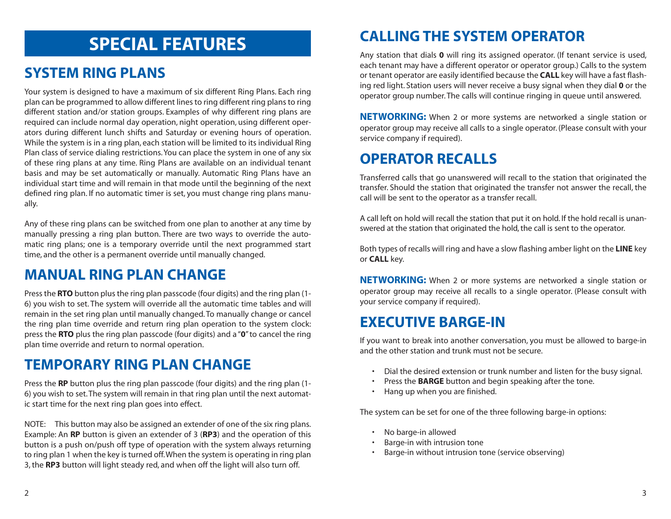## **SPECIAL FEATURES**

### <span id="page-3-0"></span>**SYSTEM RING PLANS**

Your system is designed to have a maximum of six different Ring Plans. Each ring plan can be programmed to allow different lines to ring different ring plans to ring different station and/or station groups. Examples of why different ring plans are required can include normal day operation, night operation, using different operators during different lunch shifts and Saturday or evening hours of operation. While the system is in a ring plan, each station will be limited to its individual Ring Plan class of service dialing restrictions.You can place the system in one of any six of these ring plans at any time. Ring Plans are available on an individual tenant basis and may be set automatically or manually. Automatic Ring Plans have an individual start time and will remain in that mode until the beginning of the next defined ring plan. If no automatic timer is set, you must change ring plans manually.

Any of these ring plans can be switched from one plan to another at any time by manually pressing a ring plan button. There are two ways to override the automatic ring plans; one is a temporary override until the next programmed start time, and the other is a permanent override until manually changed.

### **MANUAL RING PLAN CHANGE**

Press the **RTO** button plus the ring plan passcode (four digits) and the ring plan (1- 6) you wish to set. The system will override all the automatic time tables and will remain in the set ring plan until manually changed. To manually change or cancel the ring plan time override and return ring plan operation to the system clock: press the **RTO** plus the ring plan passcode (four digits) and a "**0**" to cancel the ring plan time override and return to normal operation.

### **TEMPORARY RING PLAN CHANGE**

Press the **RP** button plus the ring plan passcode (four digits) and the ring plan (1- 6) you wish to set. The system will remain in that ring plan until the next automatic start time for the next ring plan goes into effect.

NOTE: This button may also be assigned an extender of one of the six ring plans. Example: An **RP** button is given an extender of 3 (**RP3**) and the operation of this button is a push on/push off type of operation with the system always returning to ring plan 1 when the key is turned off.When the system is operating in ring plan 3, the **RP3** button will light steady red, and when off the light will also turn off.

### **CALLING THE SYSTEM OPERATOR**

Any station that dials **0** will ring its assigned operator. (If tenant service is used, each tenant may have a different operator or operator group.) Calls to the system or tenant operator are easily identified because the **CALL** key will have a fast flashing red light. Station users will never receive a busy signal when they dial **0** or the operator group number. The calls will continue ringing in queue until answered.

**NETWORKING:** When 2 or more systems are networked a single station or operator group may receive all calls to a single operator. (Please consult with your service company if required).

### **OPERATOR RECALLS**

Transferred calls that go unanswered will recall to the station that originated the transfer. Should the station that originated the transfer not answer the recall, the call will be sent to the operator as a transfer recall.

A call left on hold will recall the station that put it on hold. If the hold recall is unanswered at the station that originated the hold, the call is sent to the operator.

Both types of recalls will ring and have a slow flashing amber light on the **LINE** key or **CALL** key.

**NETWORKING:** When 2 or more systems are networked a single station or operator group may receive all recalls to a single operator. (Please consult with your service company if required).

### **EXECUTIVE BARGE-IN**

If you want to break into another conversation, you must be allowed to barge-in and the other station and trunk must not be secure.

- Dial the desired extension or trunk number and listen for the busy signal.
- Press the **BARGE** button and begin speaking after the tone.
- Hang up when you are finished.

The system can be set for one of the three following barge-in options:

- No barge-in allowed
- Barge-in with intrusion tone
- Barge-in without intrusion tone (service observing)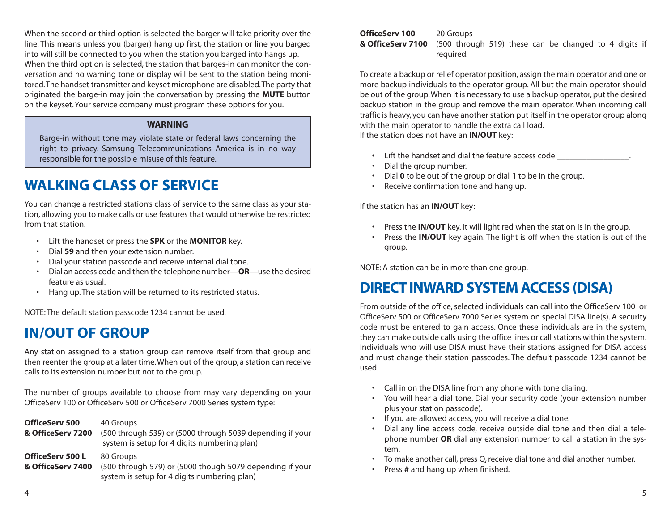<span id="page-4-0"></span>When the second or third option is selected the barger will take priority over the line. This means unless you (barger) hang up first, the station or line you barged into will still be connected to you when the station you barged into hangs up. When the third option is selected, the station that barges-in can monitor the conversation and no warning tone or display will be sent to the station being monitored.The handset transmitter and keyset microphone are disabled.The party that originated the barge-in may join the conversation by pressing the **MUTE** button on the keyset. Your service company must program these options for you.

#### **WARNING**

Barge-in without tone may violate state or federal laws concerning the right to privacy. Samsung Telecommunications America is in no way responsible for the possible misuse of this feature.

### **WALKING CLASS OF SERVICE**

You can change a restricted station's class of service to the same class as your station, allowing you to make calls or use features that would otherwise be restricted from that station.

- Lift the handset or press the **SPK** or the **MONITOR** key.
- Dial **59** and then your extension number.
- Dial your station passcode and receive internal dial tone.
- Dial an access code and then the telephone number**—OR—**use the desired feature as usual.
- Hang up. The station will be returned to its restricted status.

NOTE: The default station passcode 1234 cannot be used.

### **IN/OUT OF GROUP**

Any station assigned to a station group can remove itself from that group and then reenter the group at a later time.When out of the group, a station can receive calls to its extension number but not to the group.

The number of groups available to choose from may vary depending on your OfficeServ 100 or OfficeServ 500 or OfficeServ 7000 Series system type:

| <b>OfficeServ 500</b><br>& OfficeServ 7200   | 40 Groups<br>(500 through 539) or (5000 through 5039 depending if your<br>system is setup for 4 digits numbering plan) |
|----------------------------------------------|------------------------------------------------------------------------------------------------------------------------|
| <b>OfficeServ 500 L</b><br>& OfficeServ 7400 | 80 Groups<br>(500 through 579) or (5000 though 5079 depending if your<br>system is setup for 4 digits numbering plan)  |

#### **OfficeServ 100** 20 Groups<br>**& OfficeServ 7100** (500 throu **& OfficeServ 7100** (500 through 519) these can be changed to 4 digits if required.

To create a backup or relief operator position, assign the main operator and one or more backup individuals to the operator group. All but the main operator should be out of the group.When it is necessary to use a backup operator, put the desired backup station in the group and remove the main operator. When incoming call traffic is heavy, you can have another station put itself in the operator group along with the main operator to handle the extra call load. If the station does not have an **IN/OUT** key:

- Lift the handset and dial the feature access code
- Dial the group number.
- Dial **0** to be out of the group or dial **1** to be in the group.
- Receive confirmation tone and hang up.

If the station has an **IN/OUT** key:

- Press the **IN/OUT** key. It will light red when the station is in the group.
- Press the **IN/OUT** key again. The light is off when the station is out of the group.

NOTE: A station can be in more than one group.

### **DIRECT INWARD SYSTEM ACCESS (DISA)**

From outside of the office, selected individuals can call into the OfficeServ 100 or OfficeServ 500 or OfficeServ 7000 Series system on special DISA line(s). A security code must be entered to gain access. Once these individuals are in the system, they can make outside calls using the office lines or call stations within the system. Individuals who will use DISA must have their stations assigned for DISA access and must change their station passcodes. The default passcode 1234 cannot be used.

- Call in on the DISA line from any phone with tone dialing.
- You will hear a dial tone. Dial your security code (your extension number plus your station passcode).
- If you are allowed access, you will receive a dial tone.
- Dial any line access code, receive outside dial tone and then dial a telephone number **OR** dial any extension number to call a station in the system.
- To make another call, press Q, receive dial tone and dial another number.
- Press **#** and hang up when finished.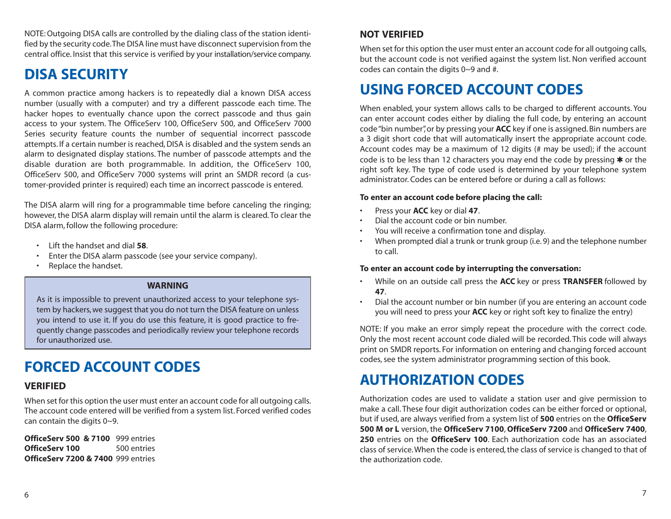<span id="page-5-0"></span>NOTE: Outgoing DISA calls are controlled by the dialing class of the station identified by the security code.The DISA line must have disconnect supervision from the central office. Insist that this service is verified by your installation/service company.

### **DISA SECURITY**

A common practice among hackers is to repeatedly dial a known DISA access number (usually with a computer) and try a different passcode each time. The hacker hopes to eventually chance upon the correct passcode and thus gain access to your system. The OfficeServ 100, OfficeServ 500, and OfficeServ 7000 Series security feature counts the number of sequential incorrect passcode attempts. If a certain number is reached, DISA is disabled and the system sends an alarm to designated display stations. The number of passcode attempts and the disable duration are both programmable. In addition, the OfficeServ 100, OfficeServ 500, and OfficeServ 7000 systems will print an SMDR record (a customer-provided printer is required) each time an incorrect passcode is entered.

The DISA alarm will ring for a programmable time before canceling the ringing; however, the DISA alarm display will remain until the alarm is cleared. To clear the DISA alarm, follow the following procedure:

- Lift the handset and dial **58**.
- Enter the DISA alarm passcode (see your service company).
- Replace the handset.

#### **WARNING**

As it is impossible to prevent unauthorized access to your telephone system by hackers, we suggest that you do not turn the DISA feature on unless you intend to use it. If you do use this feature, it is good practice to frequently change passcodes and periodically review your telephone records for unauthorized use.

### **FORCED ACCOUNT CODES**

### **VERIFIED**

When set for this option the user must enter an account code for all outgoing calls. The account code entered will be verified from a system list. Forced verified codes can contain the digits 0~9.

**OfficeServ 500 & 7100** 999 entries **OfficeServ 100** 500 entries **OfficeServ 7200 & 7400** 999 entries

### **NOT VERIFIED**

When set for this option the user must enter an account code for all outgoing calls, but the account code is not verified against the system list. Non verified account codes can contain the digits 0~9 and #.

### **USING FORCED ACCOUNT CODES**

When enabled, your system allows calls to be charged to different accounts. You can enter account codes either by dialing the full code, by entering an account code "bin number", or by pressing your **ACC** key if one is assigned. Bin numbers are a 3 digit short code that will automatically insert the appropriate account code. Account codes may be a maximum of 12 digits (# may be used); if the account code is to be less than 12 characters you may end the code by pressing \* or the right soft key. The type of code used is determined by your telephone system administrator. Codes can be entered before or during a call as follows:

#### **To enter an account code before placing the call:**

- Press your **ACC** key or dial **47**.
- Dial the account code or bin number.
- You will receive a confirmation tone and display.
- When prompted dial a trunk or trunk group (i.e. 9) and the telephone number to call.

#### **To enter an account code by interrupting the conversation:**

- While on an outside call press the **ACC** key or press **TRANSFER** followed by **47**.
- Dial the account number or bin number (if you are entering an account code you will need to press your **ACC** key or right soft key to finalize the entry)

NOTE: If you make an error simply repeat the procedure with the correct code. Only the most recent account code dialed will be recorded. This code will always print on SMDR reports. For information on entering and changing forced account codes, see the system administrator programming section of this book.

### **AUTHORIZATION CODES**

Authorization codes are used to validate a station user and give permission to make a call. These four digit authorization codes can be either forced or optional, but if used, are always verified from a system list of **500** entries on the **OfficeServ 500 M or L** version, the **OfficeServ 7100**, **OfficeServ 7200** and **OfficeServ 7400**, **250** entries on the **OfficeServ 100**. Each authorization code has an associated class of service.When the code is entered, the class of service is changed to that of the authorization code.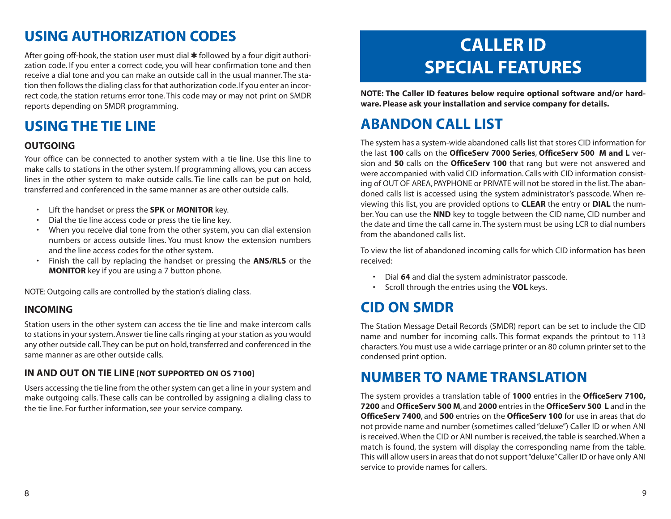### <span id="page-6-0"></span>**USING AUTHORIZATION CODES**

After going off-hook, the station user must dial  $*$  followed by a four digit authorization code. If you enter a correct code, you will hear confirmation tone and then receive a dial tone and you can make an outside call in the usual manner. The station then follows the dialing class for that authorization code. If you enter an incorrect code, the station returns error tone. This code may or may not print on SMDR reports depending on SMDR programming.

### **USING THE TIE LINE**

### **OUTGOING**

Your office can be connected to another system with a tie line. Use this line to make calls to stations in the other system. If programming allows, you can access lines in the other system to make outside calls. Tie line calls can be put on hold, transferred and conferenced in the same manner as are other outside calls.

- Lift the handset or press the **SPK** or **MONITOR** key.
- Dial the tie line access code or press the tie line key.
- When you receive dial tone from the other system, you can dial extension numbers or access outside lines. You must know the extension numbers and the line access codes for the other system.
- Finish the call by replacing the handset or pressing the **ANS/RLS** or the **MONITOR** key if you are using a 7 button phone.

NOTE: Outgoing calls are controlled by the station's dialing class.

### **INCOMING**

Station users in the other system can access the tie line and make intercom calls to stations in your system. Answer tie line calls ringing at your station as you would any other outside call.They can be put on hold, transferred and conferenced in the same manner as are other outside calls.

### **IN AND OUT ON TIE LINE [NOT SUPPORTED ON OS 7100]**

Users accessing the tie line from the other system can get a line in your system and make outgoing calls. These calls can be controlled by assigning a dialing class to the tie line. For further information, see your service company.

## **CALLER ID SPECIAL FEATURES**

**NOTE: The Caller ID features below require optional software and/or hardware. Please ask your installation and service company for details.**

### **ABANDON CALL LIST**

The system has a system-wide abandoned calls list that stores CID information for the last **100** calls on the **OfficeServ 7000 Series**, **OfficeServ 500 M and L** version and **50** calls on the **OfficeServ 100** that rang but were not answered and were accompanied with valid CID information. Calls with CID information consisting of OUT OF AREA, PAYPHONE or PRIVATE will not be stored in the list.The abandoned calls list is accessed using the system administrator's passcode. When reviewing this list, you are provided options to **CLEAR** the entry or **DIAL** the number. You can use the **NND** key to toggle between the CID name, CID number and the date and time the call came in.The system must be using LCR to dial numbers from the abandoned calls list.

To view the list of abandoned incoming calls for which CID information has been received:

- Dial **64** and dial the system administrator passcode.
- Scroll through the entries using the **VOL** keys.

### **CID ON SMDR**

The Station Message Detail Records (SMDR) report can be set to include the CID name and number for incoming calls. This format expands the printout to 113 characters.You must use a wide carriage printer or an 80 column printer set to the condensed print option.

### **NUMBER TO NAME TRANSLATION**

The system provides a translation table of **1000** entries in the **OfficeServ 7100, 7200** and **OfficeServ 500 M**, and **2000** entries in the **OfficeServ 500 L** and in the **OfficeServ 7400**, and **500** entries on the **OfficeServ 100** for use in areas that do not provide name and number (sometimes called "deluxe") Caller ID or when ANI is received.When the CID or ANI number is received, the table is searched.When a match is found, the system will display the corresponding name from the table. This will allow users in areas that do not support "deluxe"Caller ID or have only ANI service to provide names for callers.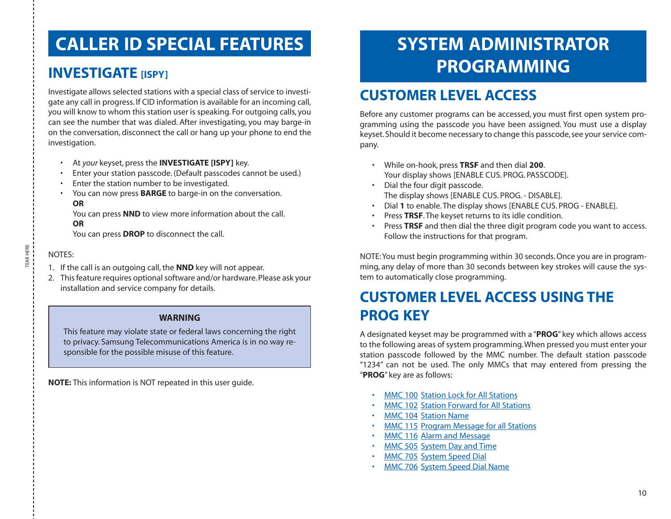## <span id="page-7-0"></span>**CALLER ID SPECIAL FEATURES**

### **INVESTIGATE** [ISPY]

Investigate allows selected stations with a special class of service to investigate any call in progress. If CID information is available for an incoming call, you will know to whom this station user is speaking. For outgoing calls, you can see the number that was dialed. After investigating, you may barge-in on the conversation, disconnect the call or hang up your phone to end the investigation.

- At *your* keyset, press the **INVESTIGATE [ISPY]** key.
- Enter your station passcode. (Default passcodes cannot be used.)
- Enter the station number to be investigated.
- You can now press **BARGE** to barge-in on the conversation. **OR**

You can press **NND** to view more information about the call. **OR**

You can press **DROP** to disconnect the call.

### NOTES:

- 1. If the call is an outgoing call, the **NND** key will not appear.
- 2. This feature requires optional software and/or hardware. Please ask your installation and service company for details.

### **WARNING**

This feature may violate state or federal laws concerning the right to privacy. Samsung Telecommunications America is in no way responsible for the possible misuse of this feature.

**NOTE:** This information is NOT repeated in this user guide.

## **SYSTEM ADMINISTRATOR PROGRAMMING**

## **CUSTOMER LEVEL ACCESS**

Before any customer programs can be accessed, you must first open system programming using the passcode you have been assigned. You must use a display keyset. Should it become necessary to change this passcode, see your service company.

- While on-hook, press **TRSF** and then dial **200**. Your display shows [ENABLE CUS. PROG. PASSCODE].
- Dial the four digit passcode. The display shows [ENABLE CUS. PROG. - DISABLE].
- Dial **1** to enable. The display shows [ENABLE CUS. PROG ENABLE].
- Press **TRSF**. The keyset returns to its idle condition.
- Press **TRSF** and then dial the three digit program code you want to access. Follow the instructions for that program.

NOTE:You must begin programming within 30 seconds. Once you are in programming, any delay of more than 30 seconds between key strokes will cause the system to automatically close programming.

### **CUSTOMER LEVEL ACCESS USING THE PROG KEY**

A designated keyset may be programmed with a "**PROG**" key which allows access to the following areas of system programming.When pressed you must enter your station passcode followed by the MMC number. The default station passcode "1234" can not be used. The only MMCs that may entered from pressing the "**PROG**" key are as follows:

- MMC 100 Station Lock for All Stations
- MMC 102 Station Forward for All Stations
- MMC 104 Station Name
- MMC 115 Program Message for all Stations
- MMC 116 Alarm and Message
- MMC 505 System Day and Time
- MMC 705 System Speed Dial
- MMC 706 System Speed Dial Name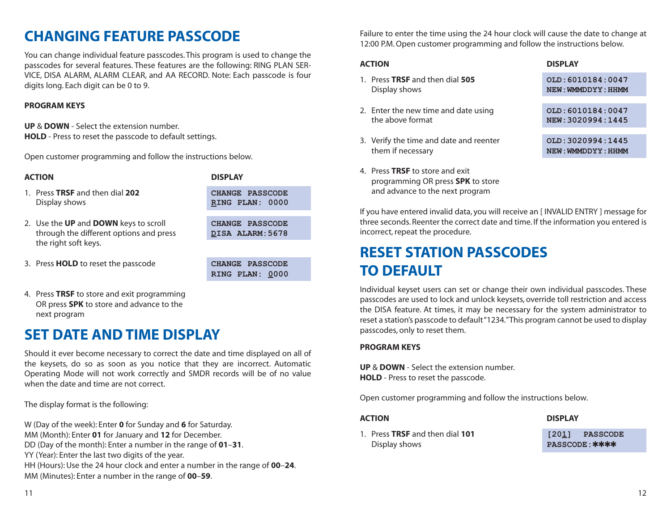## <span id="page-8-0"></span>**CHANGING FEATURE PASSCODE**

You can change individual feature passcodes. This program is used to change the passcodes for several features. These features are the following: RING PLAN SER-VICE, DISA ALARM, ALARM CLEAR, and AA RECORD. Note: Each passcode is four digits long. Each digit can be 0 to 9.

### **PROGRAM KEYS**

**UP** & **DOWN** - Select the extension number. **HOLD** - Press to reset the passcode to default settings.

Open customer programming and follow the instructions below.

| <b>ACTION</b>                                                                                            | <b>DISPLAY</b>                             |
|----------------------------------------------------------------------------------------------------------|--------------------------------------------|
| 1. Press TRSF and then dial 202<br>Display shows                                                         | <b>CHANGE PASSCODE</b><br>RING PLAN: 0000  |
| 2. Use the UP and DOWN keys to scroll<br>through the different options and press<br>the right soft keys. | <b>CHANGE PASSCODE</b><br>DISA ALARM: 5678 |
|                                                                                                          |                                            |
| 3. Press <b>HOLD</b> to reset the passcode                                                               | <b>PASSCODE</b><br><b>CHANGE</b>           |

**RING PLAN: 0000**

4. Press **TRSF** to store and exit programming OR press **SPK** to store and advance to the next program

### **SET DATE AND TIME DISPLAY**

Should it ever become necessary to correct the date and time displayed on all of the keysets, do so as soon as you notice that they are incorrect. Automatic Operating Mode will not work correctly and SMDR records will be of no value when the date and time are not correct.

The display format is the following:

W (Day of the week): Enter **0** for Sunday and **6** for Saturday. MM (Month): Enter **01** for January and **12** for December. DD (Day of the month): Enter a number in the range of **01**–**31**. YY (Year): Enter the last two digits of the year. HH (Hours): Use the 24 hour clock and enter a number in the range of **00**–**24**.

MM (Minutes): Enter a number in the range of **00**–**59**.

Failure to enter the time using the 24 hour clock will cause the date to change at 12:00 P.M. Open customer programming and follow the instructions below.

#### **ACTION DISPLAY**

| 1. Press TRSF and then dial 505<br>Display shows             | OLD: 6010184:0047<br>NEW: WMMDDYY: HHMM |
|--------------------------------------------------------------|-----------------------------------------|
| 2. Enter the new time and date using<br>the above format     | OLD: 6010184:0047<br>NEW: 3020994:1445  |
| 3. Verify the time and date and reenter<br>them if necessary | OLD: 3020994:1445<br>NEW: WMMDDYY: HHMM |

4. Press **TRSF** to store and exit programming OR press **SPK** to store and advance to the next program

If you have entered invalid data, you will receive an [ INVALID ENTRY ] message for three seconds. Reenter the correct date and time. If the information you entered is incorrect, repeat the procedure.

### **RESET STATION PASSCODES TO DEFAULT**

Individual keyset users can set or change their own individual passcodes. These passcodes are used to lock and unlock keysets, override toll restriction and access the DISA feature. At times, it may be necessary for the system administrator to reset a station's passcode to default "1234."This program cannot be used to display passcodes, only to reset them.

### **PROGRAM KEYS**

**UP** & **DOWN** - Select the extension number. **HOLD** - Press to reset the passcode.

Open customer programming and follow the instructions below.

### **ACTION DISPLAY**

1. Press **TRSF** and then dial **101 [201] PASSCODE Display shows <b>PASSCODE:**  $*****$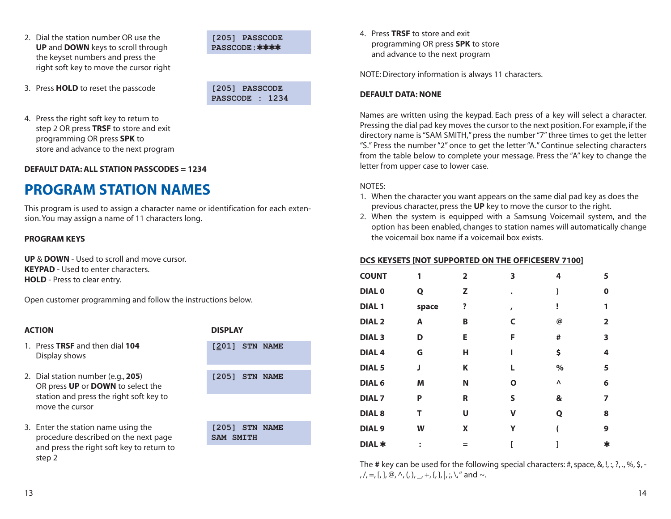<span id="page-9-0"></span>2. Dial the station number OR use the **[205] PASSCODE UP** and **DOWN** keys to scroll through **PASSCODE:**✱✱✱✱ the keyset numbers and press the right soft key to move the cursor right

3. Press **HOLD** to reset the passcode **[205] PASSCODE**



4. Press the right soft key to return to step 2 OR press **TRSF** to store and exit programming OR press **SPK** to store and advance to the next program

**DEFAULT DATA: ALL STATION PASSCODES = 1234**

### **PROGRAM STATION NAMES**

This program is used to assign a character name or identification for each extension. You may assign a name of 11 characters long.

#### **PROGRAM KEYS**

**UP** & **DOWN** - Used to scroll and move cursor. **KEYPAD** - Used to enter characters. **HOLD** - Press to clear entry.

Open customer programming and follow the instructions below.

#### **ACTION DISPLAY**

- 1. Press TRSF and then dial 104 Display shows
- 2. Dial station number (e.g., **205**) **[205] STN NAME** OR press **UP** or **DOWN** to select the station and press the right soft key to move the cursor
- 3. Enter the station name using the **[205] STN NAME** procedure described on the next page **SAM SMITH** and press the right soft key to return to step 2

| ------           |  |  |  |  |
|------------------|--|--|--|--|
| $[201]$ STN NAME |  |  |  |  |
|                  |  |  |  |  |
| FOOE1 OMM MAND   |  |  |  |  |

4. Press **TRSF** to store and exit programming OR press **SPK** to store and advance to the next program

NOTE: Directory information is always 11 characters.

#### **DEFAULT DATA: NONE**

Names are written using the keypad. Each press of a key will select a character. Pressing the dial pad key moves the cursor to the next position. For example, if the directory name is "SAM SMITH," press the number "7" three times to get the letter "S." Press the number "2" once to get the letter "A." Continue selecting characters from the table below to complete your message. Press the "A" key to change the letter from upper case to lower case.

#### NOTES:

- 1. When the character you want appears on the same dial pad key as does the previous character, press the **UP** key to move the cursor to the right.
- 2. When the system is equipped with a Samsung Voicemail system, and the option has been enabled, changes to station names will automatically change the voicemail box name if a voicemail box exists.

#### **DCS KEYSETS [NOT SUPPORTED ON THE OFFICESERV 7100]**

| <b>COUNT</b>      | 1              | $\overline{2}$ | 3            | 4    | 5              |
|-------------------|----------------|----------------|--------------|------|----------------|
| <b>DIALO</b>      | Q              | z              | ٠            | )    | 0              |
| <b>DIAL1</b>      | space          | ?              | $\mathbf{r}$ | Î    | 1              |
| <b>DIAL 2</b>     | Α              | В              | C            | @    | $\overline{2}$ |
| <b>DIAL 3</b>     | D              | E              | F            | #    | 3              |
| DIAL <sub>4</sub> | G              | н              | ı            | \$   | 4              |
| DIAL <sub>5</sub> | J              | Κ              | L            | $\%$ | 5              |
| DIAL <sub>6</sub> | Μ              | N              | O            | Λ    | 6              |
| <b>DIAL7</b>      | P              | R              | S            | &    | 7              |
| <b>DIAL 8</b>     | Т              | U              | v            | Q    | 8              |
| DIAL <sub>9</sub> | W              | X              | Υ            |      | 9              |
| DIAL *            | $\ddot{\cdot}$ | $=$            |              |      | ∗              |

The # key can be used for the following special characters: #, space, &, !, :, ?, ., %, \$, -,  $/$ , =, [, ],  $\omega$ ,  $\wedge$ , (, ), \_, +, {, }, |, ;, \, " and ~.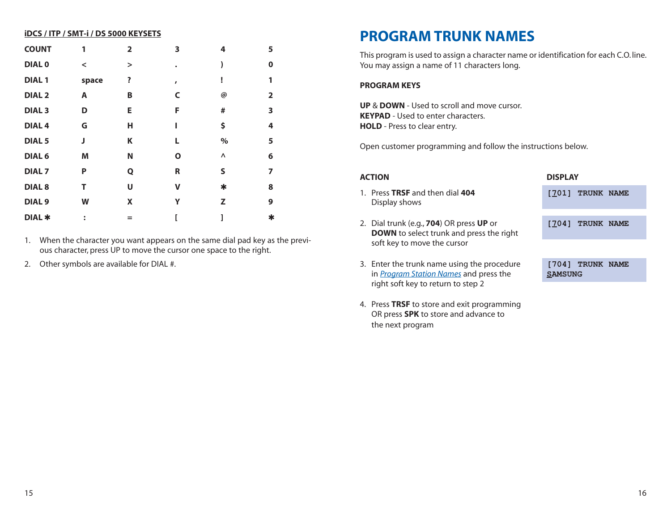<span id="page-10-0"></span>

| <b>iDCS / ITP / SMT-i / DS 5000 KEYSETS</b> |         |                |              |        |                |
|---------------------------------------------|---------|----------------|--------------|--------|----------------|
| <b>COUNT</b>                                | 1       | $\overline{2}$ | 3            | 4      | 5              |
| <b>DIALO</b>                                | $\,<\,$ | $\geq$         |              |        | $\bf{0}$       |
| <b>DIAL1</b>                                | space   | ?              | $\mathbf{r}$ | ī      | 1              |
| <b>DIAL 2</b>                               | Α       | B              | C            | @      | $\overline{2}$ |
| <b>DIAL 3</b>                               | D       | E              | F            | #      | 3              |
| <b>DIAL 4</b>                               | G       | н              | ı            | \$     | 4              |
| DIAL <sub>5</sub>                           | J       | Κ              | L            | $\%$   | 5              |
| DIAL <sub>6</sub>                           | Μ       | N              | Ο            | Λ      | 6              |
| DIAL <sub>7</sub>                           | P       | Q              | R            | S      | 7              |
| <b>DIAL 8</b>                               | т       | U              | V            | $\ast$ | 8              |
| DIAL <sub>9</sub>                           | W       | X              | Υ            | z      | 9              |
| DIAL *                                      | ፡       | $=$            |              |        |                |
|                                             |         |                |              |        |                |

1. When the character you want appears on the same dial pad key as the previous character, press UP to move the cursor one space to the right.

2. Other symbols are available for DIAL #.

### **PROGRAM TRUNK NAMES**

This program is used to assign a character name or identification for each C.O. line. You may assign a name of 11 characters long.

#### **PROGRAM KEYS**

**UP** & **DOWN** - Used to scroll and move cursor. **KEYPAD** - Used to enter characters. **HOLD** - Press to clear entry.

Open customer programming and follow the instructions below.

| <b>ACTION</b>                                                                                                               | <b>DISPLAY</b>                        |  |
|-----------------------------------------------------------------------------------------------------------------------------|---------------------------------------|--|
| 1. Press TRSF and then dial 404<br>Display shows                                                                            | TRUNK NAME<br>17011                   |  |
| 2. Dial trunk (e.g., 704) OR press UP or<br><b>DOWN</b> to select trunk and press the right<br>soft key to move the cursor  | TRUNK NAME<br>[704]                   |  |
| 3. Enter the trunk name using the procedure<br>in Program Station Names and press the<br>right soft key to return to step 2 | TRUNK NAME<br>[7041<br><b>SAMSUNG</b> |  |
|                                                                                                                             |                                       |  |

4. Press **TRSF** to store and exit programming OR press **SPK** to store and advance to the next program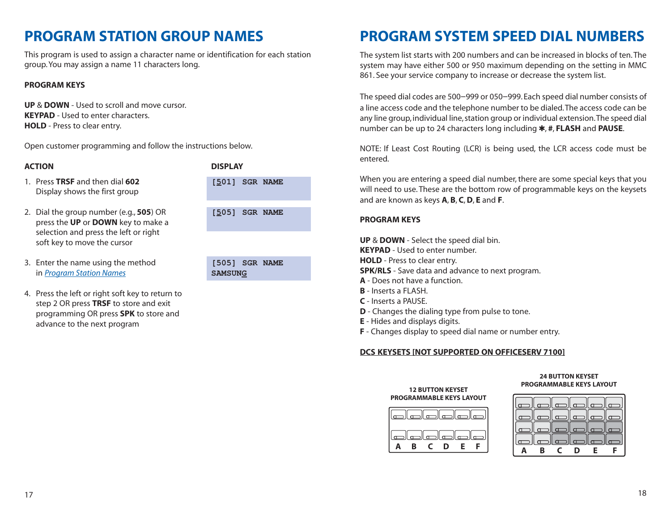### <span id="page-11-0"></span>**PROGRAM STATION GROUP NAMES**

This program is used to assign a character name or identification for each station group. You may assign a name 11 characters long.

#### **PROGRAM KEYS**

**UP** & **DOWN** - Used to scroll and move cursor. **KEYPAD** - Used to enter characters. **HOLD** - Press to clear entry.

Open customer programming and follow the instructions below.

#### **ACTION DISPLAY**

- 1. Press **TRSF** and then dial **602 [501] SGR NAME** Display shows the first group
- 2. Dial the group number (e.g., **505**) OR press the **UP** or **DOWN** key to make a selection and press the left or right soft key to move the cursor
- 3. Enter the name using the method in *[Program Station Names](#page-9-0)* **SAMSUNG**
- 4. Press the left or right soft key to return to step 2 OR press **TRSF** to store and exit programming OR press **SPK** to store and advance to the next program

| 505] SGR NAME |  |  |
|---------------|--|--|
|               |  |  |
| 505] SGR NAME |  |  |

### **PROGRAM SYSTEM SPEED DIAL NUMBERS**

The system list starts with 200 numbers and can be increased in blocks of ten.The system may have either 500 or 950 maximum depending on the setting in MMC 861. See your service company to increase or decrease the system list.

The speed dial codes are 500–999 or 050–999. Each speed dial number consists of a line access code and the telephone number to be dialed.The access code can be any line group, individual line, station group or individual extension.The speed dial number can be up to 24 characters long including ✱, **#**, **FLASH** and **PAUSE**.

NOTE: If Least Cost Routing (LCR) is being used, the LCR access code must be entered.

When you are entering a speed dial number, there are some special keys that you will need to use. These are the bottom row of programmable keys on the keysets and are known as keys **A**, **B**, **C**,**D**, **E** and **F**.

#### **PROGRAM KEYS**

**UP** & **DOWN** - Select the speed dial bin. **KEYPAD** - Used to enter number. **HOLD** - Press to clear entry. **SPK/RLS** - Save data and advance to next program. **A** - Does not have a function. **B** - Inserts a FLASH. **C** - Inserts a PAUSE.

- **D** Changes the dialing type from pulse to tone.
- **E** Hides and displays digits.
- **F** Changes display to speed dial name or number entry.

#### **DCS KEYSETS [NOT SUPPORTED ON OFFICESERV 7100]**

#### **12 BUTTON KEYSET PROGRAMMABLE KEYS LAYOUT**



#### **24 BUTTON KEYSET PROGRAMMABLE KEYS LAYOUT**

| Π |   | $\mathbb T$ |   |    |  |
|---|---|-------------|---|----|--|
|   |   |             |   |    |  |
| п | B | ⊐<br>C.     | D | €. |  |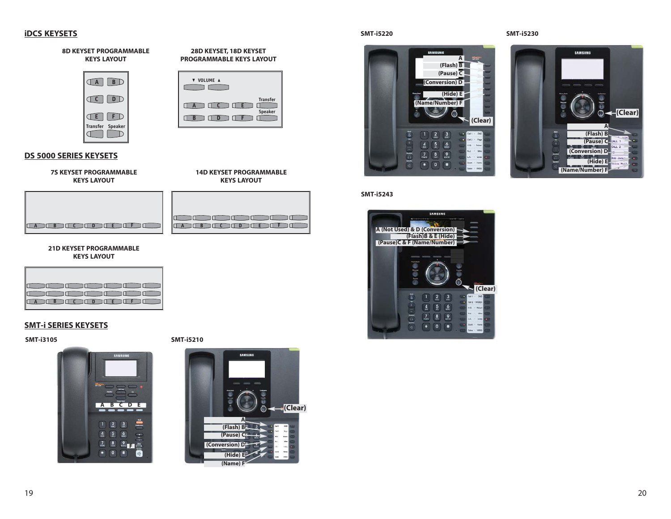#### **iDCS KEYSETS**



| : 11 11 11 11 11 11   |
|-----------------------|
| TA TENTO TO TENE TELE |

**KEYS LAYOUT**

**Transfer Speaker**

**21D KEYSET PROGRAMMABLE KEYS LAYOUT**

**E B C D D E E** 

| ב נוב נוב חבר חבר חבר     |  |  |  |
|---------------------------|--|--|--|
| . השנים החבר החבר הבר     |  |  |  |
| LA LE BOLCOLO DE BELLO DE |  |  |  |

#### **SMT-i SERIES KEYSETS**

**SMT-i3105 SMT-i5210**



**SAMSUNG (Clear) A (Flash) B (Pause) C (Conversion) D (Hide) E (Name) F**

#### **SMT-i5220 SMT-i5230**





#### **SMT-i5243**

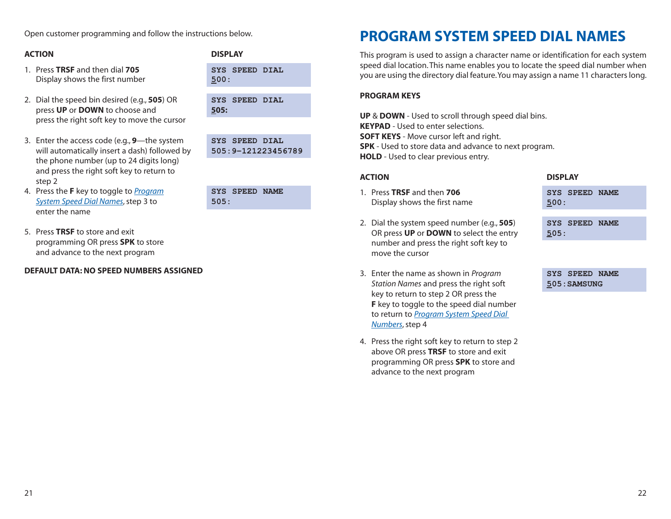### <span id="page-13-0"></span>**ACTION DISPLAY**

- 1. Press **TRSF** and then dial **705 SYS SPEED DIAL** Display shows the first number **500:**
- 2. Dial the speed bin desired (e.g., **505**) OR **SYS SPEED DIAL** press **UP** or **DOWN** to choose and **505:** press the right soft key to move the cursor
- 3. Enter the access code (e.g., **9**—the system **SYS SPEED DIAL** will automatically insert a dash) followed by **505:9–121223456789** the phone number (up to 24 digits long) and press the right soft key to return to step 2
- 4. Press the **F** key to toggle to *Program System Speed Dial Names*, step 3 to **505:** enter the name

5. Press **TRSF** to store and exit programming OR press **SPK** to store and advance to the next program

### **DEFAULT DATA: NO SPEED NUMBERS ASSIGNED**

|              | <b>IYS SPEED NAME</b> |  |
|--------------|-----------------------|--|
| $S \cap E$ . |                       |  |

### **PROGRAM SYSTEM SPEED DIAL NAMES**

This program is used to assign a character name or identification for each system speed dial location. This name enables you to locate the speed dial number when you are using the directory dial feature.You may assign a name 11 characters long.

#### **PROGRAM KEYS**

**UP** & **DOWN** - Used to scroll through speed dial bins. **KEYPAD** - Used to enter selections. **SOFT KEYS** - Move cursor left and right. **SPK** - Used to store data and advance to next program. **HOLD** - Used to clear previous entry.

#### 1. Press **TRSF** and then **706 SYS SPEED NAME** Display shows the first name **500:**

- 2. Dial the system speed number (e.g., **505**) **SYS SPEED NAME** OR press **UP** or **DOWN** to select the entry **505:** number and press the right soft key to move the cursor
- 3. Enter the name as shown in *Program* **SYS SPEED NAME** *Station Names* and press the right soft **505:SAMSUNG** key to return to step 2 OR press the **F** key to toggle to the speed dial number to return to *[Program System Speed Dial](#page-11-0)  Numbers*, step 4
- 4. Press the right soft key to return to step 2 above OR press **TRSF** to store and exit programming OR press **SPK** to store and advance to the next program

#### **ACTION DISPLAY**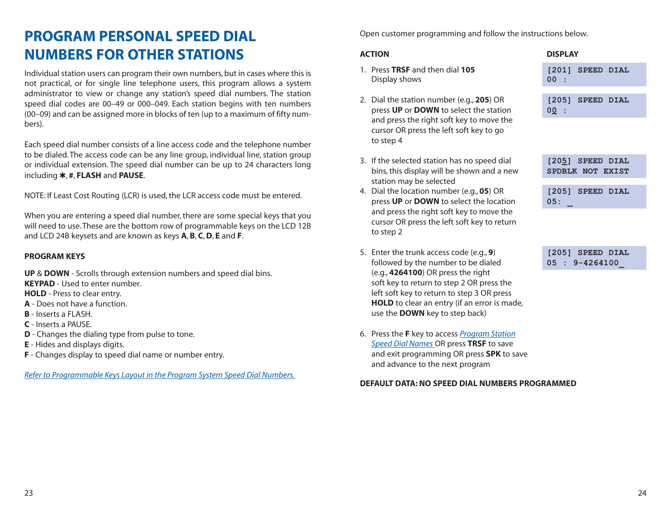## <span id="page-14-0"></span>**PROGRAM PERSONAL SPEED DIAL NUMBERS FOR OTHER STATIONS**

Individual station users can program their own numbers, but in cases where this is not practical, or for single line telephone users, this program allows a system administrator to view or change any station's speed dial numbers. The station speed dial codes are 00–49 or 000–049. Each station begins with ten numbers (00–09) and can be assigned more in blocks of ten (up to a maximum of fifty numbers).

Each speed dial number consists of a line access code and the telephone number to be dialed. The access code can be any line group, individual line, station group or individual extension. The speed dial number can be up to 24 characters long including ✱, **#**, **FLASH** and **PAUSE**.

NOTE: If Least Cost Routing (LCR) is used, the LCR access code must be entered.

When you are entering a speed dial number, there are some special keys that you will need to use. These are the bottom row of programmable keys on the LCD 12B and LCD 24B keysets and are known as keys **A**, **B**, **C**,**D**, **E** and **F**.

### **PROGRAM KEYS**

**UP** & **DOWN** - Scrolls through extension numbers and speed dial bins. **KEYPAD** - Used to enter number. **HOLD** - Press to clear entry. **A** - Does not have a function. **B** - Inserts a FLASH. **C** - Inserts a PAUSE. **D** - Changes the dialing type from pulse to tone. **E** - Hides and displays digits. **F** - Changes display to speed dial name or number entry.

*[Refer to Programmable Keys Layout in the Program System Speed Dial Numbers.](#page-11-0)*

Open customer programming and follow the instructions below.

### **ACTION DISPLAY**

- 1. Press **TRSF** and then dial **105 [201] SPEED DIAL** Display shows **00 :**
- 2. Dial the station number (e.g., **205**) OR **[205] SPEED DIAL** press **UP** or **DOWN** to select the station **00 :** and press the right soft key to move the cursor OR press the left soft key to go to step 4
- 3. If the selected station has no speed dial **[205] SPEED DIAL** bins, this display will be shown and a new **SPDBLK NOT EXIST** station may be selected
- 4. Dial the location number (e.g., **05**) OR **[205] SPEED DIAL** press **UP** or **DOWN** to select the location **05: \_** and press the right soft key to move the cursor OR press the left soft key to return to step 2
- 5. Enter the trunk access code (e.g., **9**) **[205] SPEED DIAL** followed by the number to be dialed **05 : 9-4264100\_** (e.g., **4264100**) OR press the right soft key to return to step 2 OR press the left soft key to return to step 3 OR press **HOLD** to clear an entry (if an error is made, use the **DOWN** key to step back)
- 6. Press the **F** key to access *Program Station [Speed Dial Names](#page-13-0)* OR press **TRSF** to save and exit programming OR press **SPK** to save and advance to the next program

#### **DEFAULT DATA: NO SPEED DIAL NUMBERS PROGRAMMED**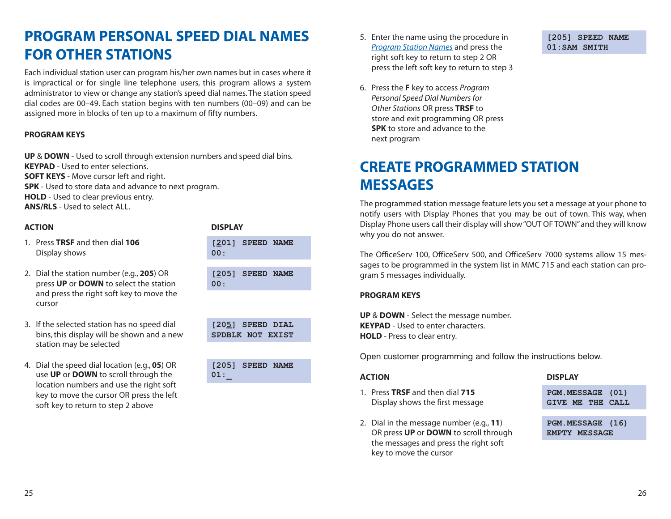### <span id="page-15-0"></span>**PROGRAM PERSONAL SPEED DIAL NAMES FOR OTHER STATIONS**

Each individual station user can program his/her own names but in cases where it is impractical or for single line telephone users, this program allows a system administrator to view or change any station's speed dial names. The station speed dial codes are 00–49. Each station begins with ten numbers (00–09) and can be assigned more in blocks of ten up to a maximum of fifty numbers.

#### **PROGRAM KEYS**

**UP** & **DOWN** - Used to scroll through extension numbers and speed dial bins. **KEYPAD** - Used to enter selections. **SOFT KEYS** - Move cursor left and right. **SPK** - Used to store data and advance to next program. **HOLD** - Used to clear previous entry. **ANS/RLS** - Used to select ALL.

#### **ACTION DISPLAY**

- 1. Press **TRSF** and then dial **106 Display shows**
- 2. Dial the station number (e.g., **205**) OR press **UP** or **DOWN** to select the station and press the right soft key to move the cursor
- 3. If the selected station has no speed dial bins, this display will be shown and a new station may be selected
- 4. Dial the speed dial location (e.g., **05**) OR use **UP** or **DOWN** to scroll through the location numbers and use the right soft key to move the cursor OR press the left soft key to return to step 2 above

| [201] SPEED NAME<br>00:              |
|--------------------------------------|
|                                      |
| [205] SPEED NAME<br>00:              |
|                                      |
| [205] SPEED DIAL<br>SPDBLK NOT EXIST |
|                                      |
| [205] SPEED NAME<br>01:              |
|                                      |

- 5. [Enter the name using the procedure in](#page-13-0) **[205] SPEED NAME** *Program Station Names* and press the **01:SAM SMITH** right soft key to return to step 2 OR press the left soft key to return to step 3
- 6. Press the **F** key to access *Program Personal Speed Dial Numbers for Other Stations* OR press **TRSF** to store and exit programming OR press **SPK** to store and advance to the next program

### **CREATE PROGRAMMED STATION MESSAGES**

The programmed station message feature lets you set a message at your phone to notify users with Display Phones that you may be out of town. This way, when Display Phone users call their display will show "OUT OF TOWN"and they will know why you do not answer.

The OfficeServ 100, OfficeServ 500, and OfficeServ 7000 systems allow 15 messages to be programmed in the system list in MMC 715 and each station can program 5 messages individually.

#### **PROGRAM KEYS**

**UP** & **DOWN** - Select the message number. **KEYPAD** - Used to enter characters. **HOLD** - Press to clear entry.

Open customer programming and follow the instructions below.

- 1. Press **TRSF** and then dial **715 PGM.MESSAGE (01)** Display shows the first message **GIVE ME THE CALL**
- 2. Dial in the message number (e.g., **11**) **PGM.MESSAGE (16)** OR press UP or **DOWN** to scroll through **EMPTY** MESSAGE the messages and press the right soft key to move the cursor

#### **ACTION DISPLAY**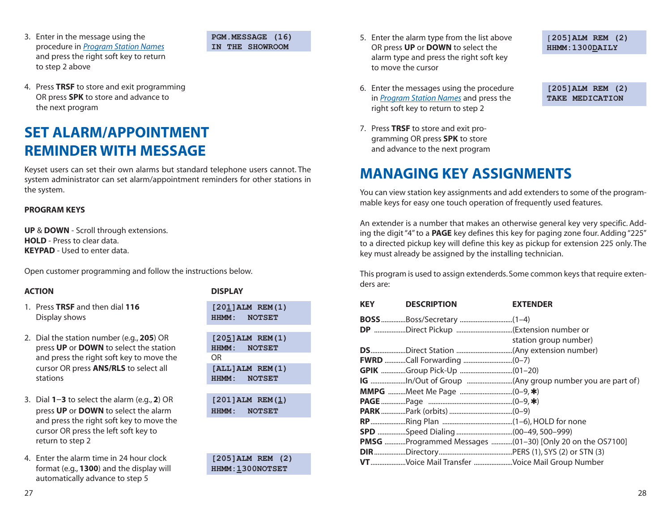<span id="page-16-0"></span>3. [Enter in the message using the](#page-13-0) **PGM.MESSAGE (16)** procedure in *Program Station Names* **IN THE SHOWROOM** and press the right soft key to return to step 2 above

4. Press **TRSF** to store and exit programming OR press **SPK** to store and advance to the next program

### **SET ALARM/APPOINTMENT REMINDER WITH MESSAGE**

Keyset users can set their own alarms but standard telephone users cannot. The system administrator can set alarm/appointment reminders for other stations in the system.

#### **PROGRAM KEYS**

**UP** & **DOWN** - Scroll through extensions. **HOLD** - Press to clear data. **KEYPAD** - Used to enter data.

Open customer programming and follow the instructions below.

#### **ACTION DISPLAY**

- 1. Press TRSF and then dial 116 **Display shows**
- 2. Dial the station number (e.g., 205) OR **press UP** or **DOWN** to select the station and press the right soft key to move the cursor OR press **ANS/RLS** to select all stations **HHMM: NOTSET**
- **3.** Dial **1−3** to select the alarm (e.g., **2**) OR press **UP** or **DOWN** to select the alarm and press the right soft key to move the cursor OR press the left soft key to return to step 2
- 4. Enter the alarm time in 24 hour clock **[205]ALM REM (2)** format (e.g., **1300**) and the display will **HHMM: 1300NOTSET** automatically advance to step 5

| [201]ALM REM(1)<br>HHMM: NOTSET |
|---------------------------------|
|                                 |
| [205]ALM REM(1)<br>HHMM: NOTSET |
|                                 |
| ΟR                              |
| [ALL]ALM REM(1)<br>HHMM: NOTSET |
|                                 |
| [201]ALM REM(1)<br>HHMM: NOTSET |
|                                 |

- 5. Enter the alarm type from the list above [**205]ALM REM (2)** OR press UP or DOWN to select the **HHMM:1300DAILY** alarm type and press the right soft key to move the cursor
- [6. Enter the messages using the procedure](#page-13-0) **[205]ALM REM (2)** in *Program Station Names* and press the **TAKE MEDICATION** right soft key to return to step 2
- 7. Press **TRSF** to store and exit programming OR press **SPK** to store and advance to the next program

### **MANAGING KEY ASSIGNMENTS**

You can view station key assignments and add extenders to some of the programmable keys for easy one touch operation of frequently used features.

An extender is a number that makes an otherwise general key very specific. Adding the digit "4" to a **PAGE** key defines this key for paging zone four. Adding "225" to a directed pickup key will define this key as pickup for extension 225 only. The key must already be assigned by the installing technician.

This program is used to assign extenderds. Some common keys that require extenders are:

| <b>KEY</b> | <b>DESCRIPTION</b>                            | <b>EXTENDER</b>                                          |
|------------|-----------------------------------------------|----------------------------------------------------------|
|            |                                               |                                                          |
|            |                                               |                                                          |
|            |                                               | station group number)                                    |
|            |                                               |                                                          |
|            |                                               |                                                          |
|            |                                               |                                                          |
|            |                                               |                                                          |
|            |                                               |                                                          |
|            |                                               |                                                          |
|            |                                               |                                                          |
|            |                                               |                                                          |
|            |                                               |                                                          |
|            |                                               | PMSG Programmed Messages (01-30) [Only 20 on the OS7100] |
|            |                                               |                                                          |
|            | VTVoice Mail Transfer Voice Mail Group Number |                                                          |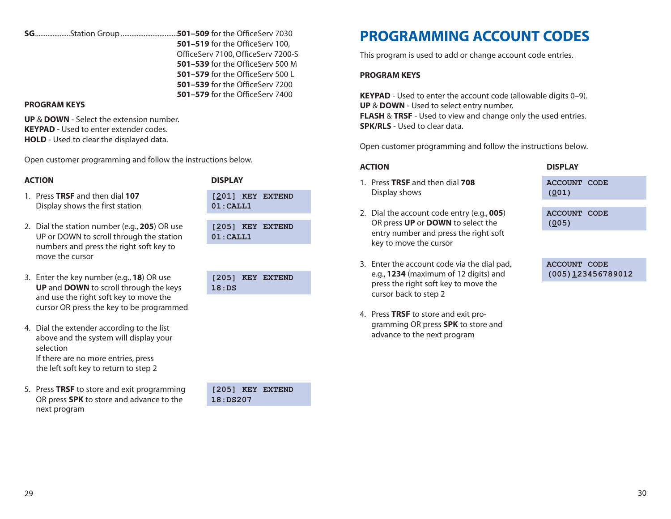#### **PROGRAM KEYS**

**UP** & **DOWN** - Select the extension number. **KEYPAD** - Used to enter extender codes. **HOLD** - Used to clear the displayed data.

Open customer programming and follow the instructions below.

<span id="page-17-0"></span>**SG**....................Station Group ................................**501–509** for the OfficeServ 7030

### **ACTION DISPLAY**

- 1. Press **TRSF** and then dial **107 [201] KEY EXTEND** Display shows the first station **01:CALL1**
- 2. Dial the station number (e.g., **205**) OR use **[205] KEY EXTEND**<br>LIP or DOWN to scroll through the station **1.01** : CALL1 UP or DOWN to scroll through the station numbers and press the right soft key to move the cursor
- 3. Enter the key number (e.g., **18**) OR use **UP** and **DOWN** to scroll through the keys and use the right soft key to move the cursor OR press the key to be programmed
- 4. Dial the extender according to the list above and the system will display your selection If there are no more entries, press the left soft key to return to step 2
- 5. Press **TRSF** to store and exit programming **[205] KEY EXTEND** OR press **SPK** to store and advance to the **18:DS207** next program

| 18:DS | [205] KEY EXTEND |
|-------|------------------|
|       |                  |

**501–519** for the OfficeServ 100, OfficeServ 7100, OfficeServ 7200-S **501–539** for the OfficeServ 500 M **501–579** for the OfficeServ 500 L **501–539** for the OfficeServ 7200 **501–579** for the OfficeServ 7400

### **PROGRAMMING ACCOUNT CODES**

This program is used to add or change account code entries.

#### **PROGRAM KEYS**

**KEYPAD** - Used to enter the account code (allowable digits 0-9). **UP** & **DOWN** - Used to select entry number. **FLASH** & **TRSF** - Used to view and change only the used entries. **SPK/RLS** - Used to clear data.

Open customer programming and follow the instructions below.

#### **ACTION DISPLAY**

- 1. Press **TRSF** and then dial **708 ACCOUNT CODE** Display shows **(001)**
- 2. Dial the account code entry (e.g., **005**) **ACCOUNT CODE** OR press **UP** or **DOWN** to select the **(005)**  entry number and press the right soft key to move the cursor
- 3. Enter the account code via the dial pad, **ACCOUNT CODE** e.g., **1234** (maximum of 12 digits) and **(005)** 123456789012 press the right soft key to move the cursor back to step 2
- 4. Press **TRSF** to store and exit programming OR press **SPK** to store and advance to the next program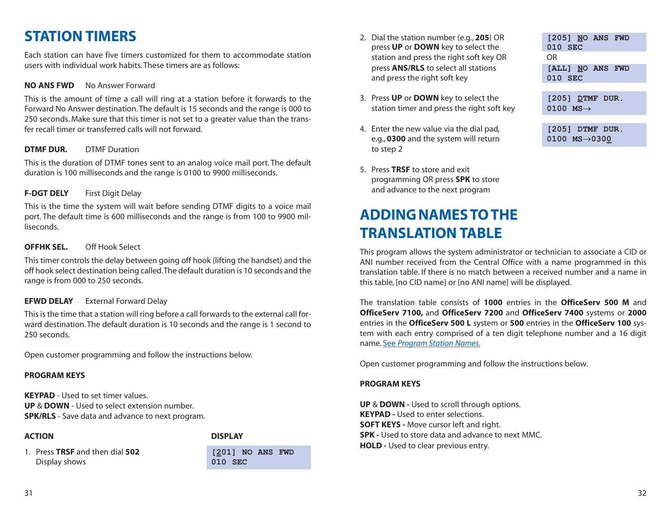### <span id="page-18-0"></span>**STATION TIMERS**

Each station can have five timers customized for them to accommodate station users with individual work habits. These timers are as follows:

#### **NO ANS FWD** No Answer Forward

This is the amount of time a call will ring at a station before it forwards to the Forward No Answer destination. The default is 15 seconds and the range is 000 to 250 seconds. Make sure that this timer is not set to a greater value than the transfer recall timer or transferred calls will not forward.

#### **DTMF DUR.** DTMF Duration

This is the duration of DTMF tones sent to an analog voice mail port. The default duration is 100 milliseconds and the range is 0100 to 9900 milliseconds.

#### **F-DGT DELY** First Digit Delay

This is the time the system will wait before sending DTMF digits to a voice mail port. The default time is 600 milliseconds and the range is from 100 to 9900 milliseconds.

#### **OFFHK SEL.** Off Hook Select

This timer controls the delay between going off hook (lifting the handset) and the off hook select destination being called.The default duration is 10 seconds and the range is from 000 to 250 seconds.

### **EFWD DELAY** External Forward Delay

This is the time that a station will ring before a call forwards to the external call forward destination. The default duration is 10 seconds and the range is 1 second to 250 seconds.

Open customer programming and follow the instructions below.

#### **PROGRAM KEYS**

**KEYPAD** - Used to set timer values. **UP** & **DOWN** - Used to select extension number. **SPK/RLS** - Save data and advance to next program.

#### **ACTION DISPLAY**

- 1. Press **TRSF** and then dial **502 [201] NO ANS FWD** Display shows **010 SEC**
	-
- 2. Dial the station number (e.g., **205**) OR **[205] NO ANS FWD** press **UP** or **DOWN** key to select the **010 SEC** station and press the right soft key OR OR press **ANS/RLS** to select all stations **[ALL] NO ANS FWD** and press the right soft key **010 SEC**
- 3. Press **UP** or **DOWN** key to select the **[205] DTMF** DUR. station timer and press the right soft key **0100 MS**→
- 4. Enter the new value via the dial pad, **[205] DTMF DUR.** e.g., **0300** and the system will return **0100 MS**→**0300** to step 2
- 5. Press **TRSF** to store and exit programming OR press **SPK** to store and advance to the next program

## **ADDING NAMES TO THE TRANSLATION TABLE**

This program allows the system administrator or technician to associate a CID or ANI number received from the Central Office with a name programmed in this translation table. If there is no match between a received number and a name in this table, [no CID name] or [no ANI name] will be displayed.

The translation table consists of **1000** entries in the **OfficeServ 500 M** and **OfficeServ 7100,** and **OfficeServ 7200** and **OfficeServ 7400** systems or **2000** entries in the **OfficeServ 500 L** system or **500** entries in the **OfficeServ 100** system with each entry comprised of a ten digit telephone number and a 16 digit name. See *[Program Station Names.](#page-9-0)*

Open customer programming and follow the instructions below.

#### **PROGRAM KEYS**

**UP** & **DOWN -** Used to scroll through options. **KEYPAD -** Used to enter selections. **SOFT KEYS - Move cursor left and right. SPK -** Used to store data and advance to next MMC. **HOLD -** Used to clear previous entry.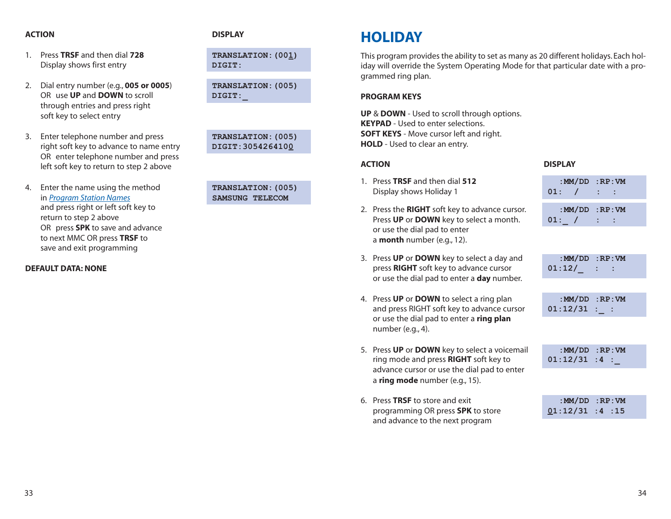#### <span id="page-19-0"></span>**ACTION DISPLAY**

- 1. Press **TRSF** and then dial **728 TRANSLATION:(001)** Display shows first entry **DIGIT:**
- 2. Dial entry number (e.g., **005 or 0005**) **TRANSLATION:(005)** OR use **UP** and **DOWN** to scroll **DIGIT:** through entries and press right soft key to select entry
- 3. Enter telephone number and press **TRANSLATION:(005)** right soft key to advance to name entry **DIGIT: 3054264100** OR enter telephone number and press left soft key to return to step 2 above
- 4. Enter the name using the method **TRANSLATION:(005)** in *[Program Station Names](#page-9-0)* **SAMSUNG TELECOM** and press right or left soft key to return to step 2 above OR press **SPK** to save and advance to next MMC OR press **TRSF** to save and exit programming

#### **DEFAULT DATA: NONE**

### **HOLIDAY**

This program provides the ability to set as many as 20 different holidays. Each holiday will override the System Operating Mode for that particular date with a programmed ring plan.

#### **PROGRAM KEYS**

**UP** & **DOWN** - Used to scroll through options. **KEYPAD** - Used to enter selections. **SOFT KEYS** - Move cursor left and right. **HOLD** - Used to clear an entry.

- 1. Press **TRSF** and then dial **512 Display shows Holiday 1**
- 2. Press the **RIGHT** soft key to advance cursor. Press **UP** or **DOWN** key to select a month. or use the dial pad to enter a **month** number (e.g., 12).
- 3. Press **UP** or **DOWN** key to select a day and press **RIGHT** soft key to advance cursor or use the dial pad to enter a **day** number.
- 4. Press **UP** or **DOWN** to select a ring plan and press RIGHT soft key to advance cursor or use the dial pad to enter a **ring plan** number (e.g., 4).
- 5. Press **UP** or **DOWN** key to select a voicemail ring mode and press **RIGHT** soft key to advance cursor or use the dial pad to enter a **ring mode** number (e.g., 15).
- 6. Press **TRSF** to store and exit programming OR press **SPK** to store and advance to the next program

| <b>ACTION</b> | <b>DISPLAY</b> |
|---------------|----------------|
|               |                |

|        | : $MM/DD$ : $RP:VM$ |  |  |
|--------|---------------------|--|--|
| 01 : I |                     |  |  |
|        |                     |  |  |

|       | : $MM/DD$ :RP:VM |  |  |
|-------|------------------|--|--|
| 01: / |                  |  |  |

| :MM/DD | :RP:VM |
|--------|--------|
| 01:12/ |        |

|          | : $MM/DD$ : $RP:VM$ |
|----------|---------------------|
| )1:12/31 |                     |

|                | : $MM/DD$ : $RP:VM$ |
|----------------|---------------------|
| $01:12/31:4$ : |                     |

|               | : $MM/DD$ : $RP:VM$ |
|---------------|---------------------|
| 01:12/31:4:15 |                     |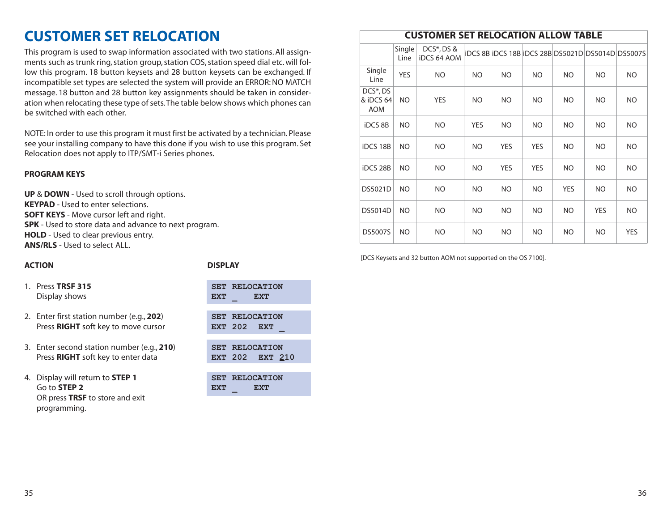### <span id="page-20-0"></span>**CUSTOMER SET RELOCATION**

This program is used to swap information associated with two stations. All assignments such as trunk ring, station group, station COS, station speed dial etc. will follow this program. 18 button keysets and 28 button keysets can be exchanged. If incompatible set types are selected the system will provide an ERROR: NO MATCH message. 18 button and 28 button key assignments should be taken in consideration when relocating these type of sets.The table below shows which phones can be switched with each other.

NOTE: In order to use this program it must first be activated by a technician. Please see your installing company to have this done if you wish to use this program. Set Relocation does not apply to ITP/SMT-i Series phones.

#### **PROGRAM KEYS**

**UP** & **DOWN** - Used to scroll through options. **KEYPAD** - Used to enter selections. **SOFT KEYS** - Move cursor left and right. **SPK** - Used to store data and advance to next program. **HOLD** - Used to clear previous entry. **ANS/RLS** - Used to select ALL.

#### **ACTION DISPLAY**

1. Press **TRSF 315 Display shows** 

|     | <b>SET RELOCATION</b> |
|-----|-----------------------|
| ЕХТ | EXT                   |

- 2. Enter first station number (e.g., 202) Press **RIGHT** soft key to move cursor
- 3. Enter second station number (e.g., **210**) **SET RELOCATION** Press **RIGHT** soft key to enter data **EXT** 202 **EXT** 210
- 4. Display will return to **STEP 1 SET RELOCATION** Go to **STEP 2 EXT EXT** OR press **TRSF** to store and exit programming.

|         | <b>SET RELOCATION</b> |
|---------|-----------------------|
| EXT 202 | EXT                   |

### **CUSTOMER SET RELOCATION ALLOW TABLE**

|                                                  | Single<br>Line | DCS <sup>*</sup> , DS &<br><b>iDCS 64 AOM</b> |            |            |            |            | iDCS 8B IDCS 18B IDCS 28B DS5021D DS5014D DS5007S |            |
|--------------------------------------------------|----------------|-----------------------------------------------|------------|------------|------------|------------|---------------------------------------------------|------------|
| Single<br>Line                                   | <b>YES</b>     | NO.                                           | NO         | NO.        | NO.        | NO.        | NO                                                | NO.        |
| DCS <sup>*</sup> , DS<br>& iDCS 64<br><b>AOM</b> | NO             | <b>YES</b>                                    | NO         | NO.        | NO         | NO.        | NO                                                | <b>NO</b>  |
| <b>iDCS 8B</b>                                   | NO.            | NO.                                           | <b>YES</b> | NO         | NO.        | NO.        | NO.                                               | <b>NO</b>  |
| iDCS 18B                                         | NO.            | NO.                                           | NO.        | <b>YES</b> | <b>YES</b> | NO.        | NO                                                | <b>NO</b>  |
| iDCS 28B                                         | NO.            | NO.                                           | NO.        | <b>YES</b> | <b>YES</b> | NO.        | NO                                                | <b>NO</b>  |
| DS5021D                                          | NO             | NO.                                           | NO.        | NO         | NO.        | <b>YES</b> | NO                                                | NO.        |
| DS5014D                                          | NO             | NO.                                           | NO.        | NO         | <b>NO</b>  | NO.        | <b>YES</b>                                        | NO.        |
| DS5007S                                          | NO             | NO.                                           | NO.        | NO         | NO.        | NO.        | NO                                                | <b>YES</b> |

[DCS Keysets and 32 button AOM not supported on the OS 7100].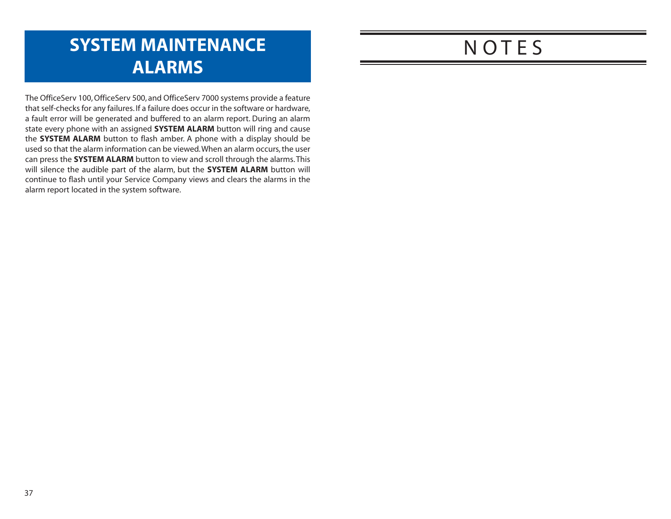## <span id="page-21-0"></span>**SYSTEM MAINTENANCE ALARMS**

The OfficeServ 100, OfficeServ 500, and OfficeServ 7000 systems provide a feature that self-checks for any failures. If a failure does occur in the software or hardware, a fault error will be generated and buffered to an alarm report. During an alarm state every phone with an assigned **SYSTEM ALARM** button will ring and cause the **SYSTEM ALARM** button to flash amber. A phone with a display should be used so that the alarm information can be viewed.When an alarm occurs, the user can press the **SYSTEM ALARM** button to view and scroll through the alarms. This will silence the audible part of the alarm, but the **SYSTEM ALARM** button will continue to flash until your Service Company views and clears the alarms in the alarm report located in the system software.

## **NOTES**